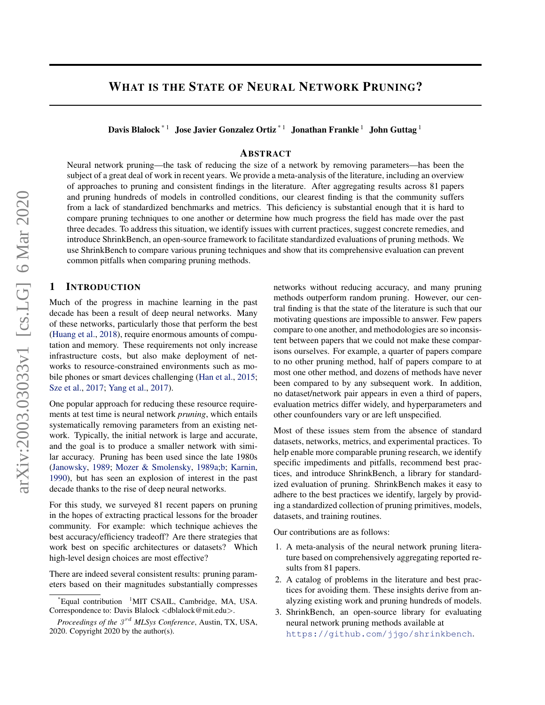# <span id="page-0-0"></span>WHAT IS THE STATE OF NEURAL NETWORK PRUNING?

Davis Blalock<sup>\*1</sup> Jose Javier Gonzalez Ortiz<sup>\*1</sup> Jonathan Frankle<sup>1</sup> John Guttag<sup>1</sup>

# ABSTRACT

Neural network pruning—the task of reducing the size of a network by removing parameters—has been the subject of a great deal of work in recent years. We provide a meta-analysis of the literature, including an overview of approaches to pruning and consistent findings in the literature. After aggregating results across 81 papers and pruning hundreds of models in controlled conditions, our clearest finding is that the community suffers from a lack of standardized benchmarks and metrics. This deficiency is substantial enough that it is hard to compare pruning techniques to one another or determine how much progress the field has made over the past three decades. To address this situation, we identify issues with current practices, suggest concrete remedies, and introduce ShrinkBench, an open-source framework to facilitate standardized evaluations of pruning methods. We use ShrinkBench to compare various pruning techniques and show that its comprehensive evaluation can prevent common pitfalls when comparing pruning methods.

### 1 INTRODUCTION

Much of the progress in machine learning in the past decade has been a result of deep neural networks. Many of these networks, particularly those that perform the best [\(Huang et al.,](#page-11-0) [2018\)](#page-11-0), require enormous amounts of computation and memory. These requirements not only increase infrastructure costs, but also make deployment of networks to resource-constrained environments such as mobile phones or smart devices challenging [\(Han et al.,](#page-10-0) [2015;](#page-10-0) [Sze et al.,](#page-12-0) [2017;](#page-12-0) [Yang et al.,](#page-13-0) [2017\)](#page-13-0).

One popular approach for reducing these resource requirements at test time is neural network *pruning*, which entails systematically removing parameters from an existing network. Typically, the initial network is large and accurate, and the goal is to produce a smaller network with similar accuracy. Pruning has been used since the late 1980s [\(Janowsky,](#page-11-0) [1989;](#page-11-0) [Mozer & Smolensky,](#page-12-0) [1989a;b;](#page-12-0) [Karnin,](#page-11-0) [1990\)](#page-11-0), but has seen an explosion of interest in the past decade thanks to the rise of deep neural networks.

For this study, we surveyed 81 recent papers on pruning in the hopes of extracting practical lessons for the broader community. For example: which technique achieves the best accuracy/efficiency tradeoff? Are there strategies that work best on specific architectures or datasets? Which high-level design choices are most effective?

There are indeed several consistent results: pruning parameters based on their magnitudes substantially compresses networks without reducing accuracy, and many pruning methods outperform random pruning. However, our central finding is that the state of the literature is such that our motivating questions are impossible to answer. Few papers compare to one another, and methodologies are so inconsistent between papers that we could not make these comparisons ourselves. For example, a quarter of papers compare to no other pruning method, half of papers compare to at most one other method, and dozens of methods have never been compared to by any subsequent work. In addition, no dataset/network pair appears in even a third of papers, evaluation metrics differ widely, and hyperparameters and other counfounders vary or are left unspecified.

Most of these issues stem from the absence of standard datasets, networks, metrics, and experimental practices. To help enable more comparable pruning research, we identify specific impediments and pitfalls, recommend best practices, and introduce ShrinkBench, a library for standardized evaluation of pruning. ShrinkBench makes it easy to adhere to the best practices we identify, largely by providing a standardized collection of pruning primitives, models, datasets, and training routines.

Our contributions are as follows:

- 1. A meta-analysis of the neural network pruning literature based on comprehensively aggregating reported results from 81 papers.
- 2. A catalog of problems in the literature and best practices for avoiding them. These insights derive from analyzing existing work and pruning hundreds of models.
- 3. ShrinkBench, an open-source library for evaluating neural network pruning methods available at <https://github.com/jjgo/shrinkbench>.

 $*$ Equal contribution  $1$ MIT CSAIL, Cambridge, MA, USA. Correspondence to: Davis Blalock <dblalock@mit.edu>.

Proceedings of the  $3^{rd}$  *MLSys Conference*, Austin, TX, USA, 2020. Copyright 2020 by the author(s).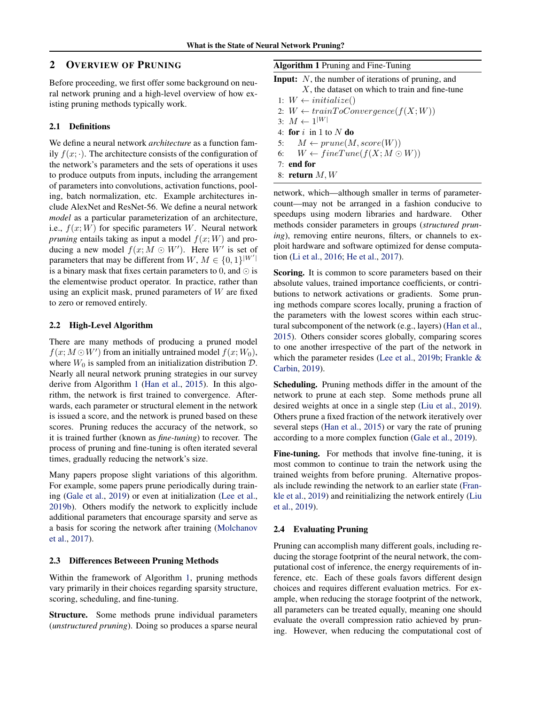# 2 OVERVIEW OF PRUNING

Before proceeding, we first offer some background on neural network pruning and a high-level overview of how existing pruning methods typically work.

#### 2.1 Definitions

We define a neural network *architecture* as a function family  $f(x; \cdot)$ . The architecture consists of the configuration of the network's parameters and the sets of operations it uses to produce outputs from inputs, including the arrangement of parameters into convolutions, activation functions, pooling, batch normalization, etc. Example architectures include AlexNet and ResNet-56. We define a neural network *model* as a particular parameterization of an architecture, i.e.,  $f(x;W)$  for specific parameters W. Neural network *pruning* entails taking as input a model  $f(x; W)$  and producing a new model  $f(x; M \odot W')$ . Here W' is set of parameters that may be different from  $W, M \in \{0, 1\}^{|W'|}$ is a binary mask that fixes certain parameters to 0, and  $\odot$  is the elementwise product operator. In practice, rather than using an explicit mask, pruned parameters of  $W$  are fixed to zero or removed entirely.

### 2.2 High-Level Algorithm

There are many methods of producing a pruned model  $f(x; M \odot W')$  from an initially untrained model  $f(x; W_0)$ , where  $W_0$  is sampled from an initialization distribution  $D$ . Nearly all neural network pruning strategies in our survey derive from Algorithm 1 [\(Han et al.,](#page-10-0) [2015\)](#page-10-0). In this algorithm, the network is first trained to convergence. Afterwards, each parameter or structural element in the network is issued a score, and the network is pruned based on these scores. Pruning reduces the accuracy of the network, so it is trained further (known as *fine-tuning*) to recover. The process of pruning and fine-tuning is often iterated several times, gradually reducing the network's size.

Many papers propose slight variations of this algorithm. For example, some papers prune periodically during training [\(Gale et al.,](#page-10-0) [2019\)](#page-10-0) or even at initialization [\(Lee et al.,](#page-11-0) [2019b\)](#page-11-0). Others modify the network to explicitly include additional parameters that encourage sparsity and serve as a basis for scoring the network after training [\(Molchanov](#page-12-0) [et al.,](#page-12-0) [2017\)](#page-12-0).

#### 2.3 Differences Betweeen Pruning Methods

Within the framework of Algorithm 1, pruning methods vary primarily in their choices regarding sparsity structure, scoring, scheduling, and fine-tuning.

Structure. Some methods prune individual parameters (*unstructured pruning*). Doing so produces a sparse neural

| <b>Algorithm 1 Pruning and Fine-Tuning</b> |
|--------------------------------------------|
|--------------------------------------------|

**Input:** N, the number of iterations of pruning, and

- $X$ , the dataset on which to train and fine-tune
- 1:  $W \leftarrow$  initialize()
- 2:  $W \leftarrow trainToConvergence(f(X;W))$
- 3:  $M \leftarrow 1^{|W|}$
- 4: for  $i$  in 1 to  $N$  do
- 5:  $M \leftarrow prune(M, score(W))$
- 6:  $W \leftarrow \text{fineTune}(f(X; M \odot W))$
- 7: end for
- 8: return  $M, W$

network, which—although smaller in terms of parametercount—may not be arranged in a fashion conducive to speedups using modern libraries and hardware. Other methods consider parameters in groups (*structured pruning*), removing entire neurons, filters, or channels to exploit hardware and software optimized for dense computation [\(Li et al.,](#page-11-0) [2016;](#page-11-0) [He et al.,](#page-10-0) [2017\)](#page-10-0).

Scoring. It is common to score parameters based on their absolute values, trained importance coefficients, or contributions to network activations or gradients. Some pruning methods compare scores locally, pruning a fraction of the parameters with the lowest scores within each structural subcomponent of the network (e.g., layers) [\(Han et al.,](#page-10-0) [2015\)](#page-10-0). Others consider scores globally, comparing scores to one another irrespective of the part of the network in which the parameter resides [\(Lee et al.,](#page-11-0) [2019b;](#page-11-0) [Frankle &](#page-10-0) [Carbin,](#page-10-0) [2019\)](#page-10-0).

Scheduling. Pruning methods differ in the amount of the network to prune at each step. Some methods prune all desired weights at once in a single step [\(Liu et al.,](#page-11-0) [2019\)](#page-11-0). Others prune a fixed fraction of the network iteratively over several steps [\(Han et al.,](#page-10-0) [2015\)](#page-10-0) or vary the rate of pruning according to a more complex function [\(Gale et al.,](#page-10-0) [2019\)](#page-10-0).

Fine-tuning. For methods that involve fine-tuning, it is most common to continue to train the network using the trained weights from before pruning. Alternative proposals include rewinding the network to an earlier state [\(Fran](#page-10-0)[kle et al.,](#page-10-0) [2019\)](#page-10-0) and reinitializing the network entirely [\(Liu](#page-11-0) [et al.,](#page-11-0) [2019\)](#page-11-0).

#### 2.4 Evaluating Pruning

Pruning can accomplish many different goals, including reducing the storage footprint of the neural network, the computational cost of inference, the energy requirements of inference, etc. Each of these goals favors different design choices and requires different evaluation metrics. For example, when reducing the storage footprint of the network, all parameters can be treated equally, meaning one should evaluate the overall compression ratio achieved by pruning. However, when reducing the computational cost of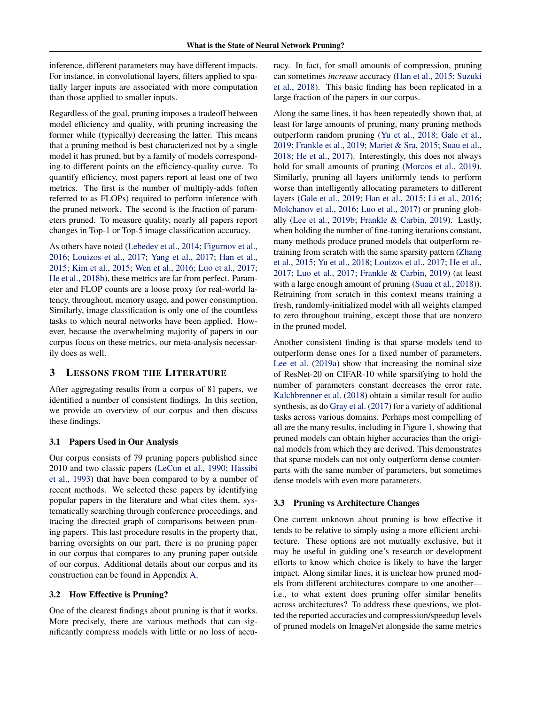inference, different parameters may have different impacts. For instance, in convolutional layers, filters applied to spatially larger inputs are associated with more computation than those applied to smaller inputs.

Regardless of the goal, pruning imposes a tradeoff between model efficiency and quality, with pruning increasing the former while (typically) decreasing the latter. This means that a pruning method is best characterized not by a single model it has pruned, but by a family of models corresponding to different points on the efficiency-quality curve. To quantify efficiency, most papers report at least one of two metrics. The first is the number of multiply-adds (often referred to as FLOPs) required to perform inference with the pruned network. The second is the fraction of parameters pruned. To measure quality, nearly all papers report changes in Top-1 or Top-5 image classification accuracy.

As others have noted [\(Lebedev et al.,](#page-11-0) [2014;](#page-11-0) [Figurnov et al.,](#page-10-0) [2016;](#page-10-0) [Louizos et al.,](#page-11-0) [2017;](#page-11-0) [Yang et al.,](#page-13-0) [2017;](#page-13-0) [Han et al.,](#page-10-0) [2015;](#page-10-0) [Kim et al.,](#page-11-0) [2015;](#page-11-0) [Wen et al.,](#page-12-0) [2016;](#page-12-0) [Luo et al.,](#page-12-0) [2017;](#page-12-0) [He et al.,](#page-10-0) [2018b\)](#page-10-0), these metrics are far from perfect. Parameter and FLOP counts are a loose proxy for real-world latency, throughout, memory usage, and power consumption. Similarly, image classification is only one of the countless tasks to which neural networks have been applied. However, because the overwhelming majority of papers in our corpus focus on these metrics, our meta-analysis necessarily does as well.

### 3 LESSONS FROM THE LITERATURE

After aggregating results from a corpus of 81 papers, we identified a number of consistent findings. In this section, we provide an overview of our corpus and then discuss these findings.

### 3.1 Papers Used in Our Analysis

Our corpus consists of 79 pruning papers published since 2010 and two classic papers [\(LeCun et al.,](#page-11-0) [1990;](#page-11-0) [Hassibi](#page-10-0) [et al.,](#page-10-0) [1993\)](#page-10-0) that have been compared to by a number of recent methods. We selected these papers by identifying popular papers in the literature and what cites them, systematically searching through conference proceedings, and tracing the directed graph of comparisons between pruning papers. This last procedure results in the property that, barring oversights on our part, there is no pruning paper in our corpus that compares to any pruning paper outside of our corpus. Additional details about our corpus and its construction can be found in Appendix [A.](#page-14-0)

#### 3.2 How Effective is Pruning?

One of the clearest findings about pruning is that it works. More precisely, there are various methods that can significantly compress models with little or no loss of accuracy. In fact, for small amounts of compression, pruning can sometimes *increase* accuracy [\(Han et al.,](#page-10-0) [2015;](#page-10-0) [Suzuki](#page-12-0) [et al.,](#page-12-0) [2018\)](#page-12-0). This basic finding has been replicated in a large fraction of the papers in our corpus.

Along the same lines, it has been repeatedly shown that, at least for large amounts of pruning, many pruning methods outperform random pruning [\(Yu et al.,](#page-13-0) [2018;](#page-13-0) [Gale et al.,](#page-10-0) [2019;](#page-10-0) [Frankle et al.,](#page-10-0) [2019;](#page-10-0) [Mariet & Sra,](#page-12-0) [2015;](#page-12-0) [Suau et al.,](#page-12-0) [2018;](#page-12-0) [He et al.,](#page-10-0) [2017\)](#page-10-0). Interestingly, this does not always hold for small amounts of pruning [\(Morcos et al.,](#page-12-0) [2019\)](#page-12-0). Similarly, pruning all layers uniformly tends to perform worse than intelligently allocating parameters to different layers [\(Gale et al.,](#page-10-0) [2019;](#page-10-0) [Han et al.,](#page-10-0) [2015;](#page-10-0) [Li et al.,](#page-11-0) [2016;](#page-11-0) [Molchanov et al.,](#page-12-0) [2016;](#page-12-0) [Luo et al.,](#page-12-0) [2017\)](#page-12-0) or pruning globally [\(Lee et al.,](#page-11-0) [2019b;](#page-11-0) [Frankle & Carbin,](#page-10-0) [2019\)](#page-10-0). Lastly, when holding the number of fine-tuning iterations constant, many methods produce pruned models that outperform retraining from scratch with the same sparsity pattern [\(Zhang](#page-13-0) [et al.,](#page-13-0) [2015;](#page-13-0) [Yu et al.,](#page-13-0) [2018;](#page-13-0) [Louizos et al.,](#page-11-0) [2017;](#page-11-0) [He et al.,](#page-10-0) [2017;](#page-10-0) [Luo et al.,](#page-12-0) [2017;](#page-12-0) [Frankle & Carbin,](#page-10-0) [2019\)](#page-10-0) (at least with a large enough amount of pruning [\(Suau et al.,](#page-12-0) [2018\)](#page-12-0)). Retraining from scratch in this context means training a fresh, randomly-initialized model with all weights clamped to zero throughout training, except those that are nonzero in the pruned model.

Another consistent finding is that sparse models tend to outperform dense ones for a fixed number of parameters. [Lee et al.](#page-11-0) [\(2019a\)](#page-11-0) show that increasing the nominal size of ResNet-20 on CIFAR-10 while sparsifying to hold the number of parameters constant decreases the error rate. [Kalchbrenner et al.](#page-11-0) [\(2018\)](#page-11-0) obtain a similar result for audio synthesis, as do [Gray et al.](#page-10-0) [\(2017\)](#page-10-0) for a variety of additional tasks across various domains. Perhaps most compelling of all are the many results, including in Figure [1,](#page-3-0) showing that pruned models can obtain higher accuracies than the original models from which they are derived. This demonstrates that sparse models can not only outperform dense counterparts with the same number of parameters, but sometimes dense models with even more parameters.

### 3.3 Pruning vs Architecture Changes

One current unknown about pruning is how effective it tends to be relative to simply using a more efficient architecture. These options are not mutually exclusive, but it may be useful in guiding one's research or development efforts to know which choice is likely to have the larger impact. Along similar lines, it is unclear how pruned models from different architectures compare to one another i.e., to what extent does pruning offer similar benefits across architectures? To address these questions, we plotted the reported accuracies and compression/speedup levels of pruned models on ImageNet alongside the same metrics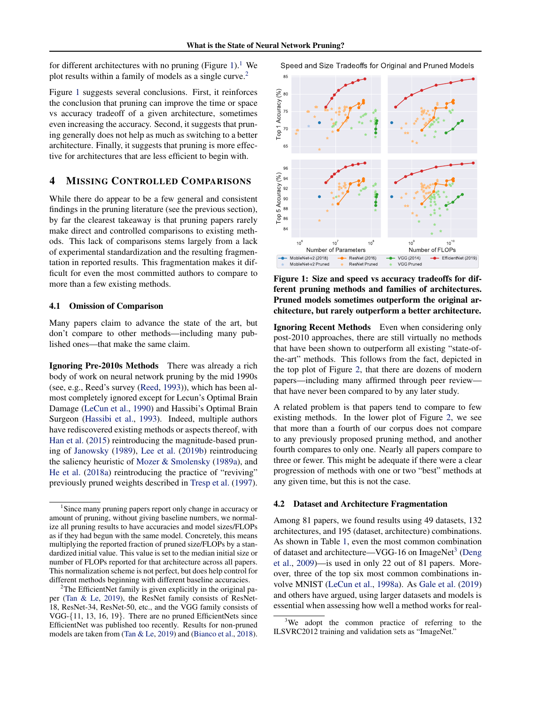<span id="page-3-0"></span>for different architectures with no pruning (Figure [1](#page-0-0)).<sup>1</sup> We plot results within a family of models as a single curve.<sup>[2](#page-0-0)</sup>

Figure 1 suggests several conclusions. First, it reinforces the conclusion that pruning can improve the time or space vs accuracy tradeoff of a given architecture, sometimes even increasing the accuracy. Second, it suggests that pruning generally does not help as much as switching to a better architecture. Finally, it suggests that pruning is more effective for architectures that are less efficient to begin with.

# 4 MISSING CONTROLLED COMPARISONS

While there do appear to be a few general and consistent findings in the pruning literature (see the previous section), by far the clearest takeaway is that pruning papers rarely make direct and controlled comparisons to existing methods. This lack of comparisons stems largely from a lack of experimental standardization and the resulting fragmentation in reported results. This fragmentation makes it difficult for even the most committed authors to compare to more than a few existing methods.

#### 4.1 Omission of Comparison

Many papers claim to advance the state of the art, but don't compare to other methods—including many published ones—that make the same claim.

Ignoring Pre-2010s Methods There was already a rich body of work on neural network pruning by the mid 1990s (see, e.g., Reed's survey [\(Reed,](#page-12-0) [1993\)](#page-12-0)), which has been almost completely ignored except for Lecun's Optimal Brain Damage [\(LeCun et al.,](#page-11-0) [1990\)](#page-11-0) and Hassibi's Optimal Brain Surgeon [\(Hassibi et al.,](#page-10-0) [1993\)](#page-10-0). Indeed, multiple authors have rediscovered existing methods or aspects thereof, with [Han et al.](#page-10-0) [\(2015\)](#page-10-0) reintroducing the magnitude-based pruning of [Janowsky](#page-11-0) [\(1989\)](#page-11-0), [Lee et al.](#page-11-0) [\(2019b\)](#page-11-0) reintroducing the saliency heuristic of [Mozer & Smolensky](#page-12-0) [\(1989a\)](#page-12-0), and [He et al.](#page-10-0) [\(2018a\)](#page-10-0) reintroducing the practice of "reviving" previously pruned weights described in [Tresp et al.](#page-12-0) [\(1997\)](#page-12-0). Speed and Size Tradeoffs for Original and Pruned Models



Figure 1: Size and speed vs accuracy tradeoffs for different pruning methods and families of architectures. Pruned models sometimes outperform the original architecture, but rarely outperform a better architecture.

Ignoring Recent Methods Even when considering only post-2010 approaches, there are still virtually no methods that have been shown to outperform all existing "state-ofthe-art" methods. This follows from the fact, depicted in the top plot of Figure [2,](#page-4-0) that there are dozens of modern papers—including many affirmed through peer review that have never been compared to by any later study.

A related problem is that papers tend to compare to few existing methods. In the lower plot of Figure [2,](#page-4-0) we see that more than a fourth of our corpus does not compare to any previously proposed pruning method, and another fourth compares to only one. Nearly all papers compare to three or fewer. This might be adequate if there were a clear progression of methods with one or two "best" methods at any given time, but this is not the case.

#### 4.2 Dataset and Architecture Fragmentation

Among 81 papers, we found results using 49 datasets, 132 architectures, and 195 (dataset, architecture) combinations. As shown in Table [1,](#page-4-0) even the most common combination of dataset and architecture—VGG-16 on ImageNet<sup>[3](#page-0-0)</sup> [\(Deng](#page-10-0) [et al.,](#page-10-0) [2009\)](#page-10-0)—is used in only 22 out of 81 papers. Moreover, three of the top six most common combinations involve MNIST [\(LeCun et al.,](#page-11-0) [1998a\)](#page-11-0). As [Gale et al.](#page-10-0) [\(2019\)](#page-10-0) and others have argued, using larger datasets and models is essential when assessing how well a method works for real-

<sup>&</sup>lt;sup>1</sup>Since many pruning papers report only change in accuracy or amount of pruning, without giving baseline numbers, we normalize all pruning results to have accuracies and model sizes/FLOPs as if they had begun with the same model. Concretely, this means multiplying the reported fraction of pruned size/FLOPs by a standardized initial value. This value is set to the median initial size or number of FLOPs reported for that architecture across all papers. This normalization scheme is not perfect, but does help control for different methods beginning with different baseline accuracies.

<sup>&</sup>lt;sup>2</sup>The EfficientNet family is given explicitly in the original paper [\(Tan & Le,](#page-12-0) [2019\)](#page-12-0), the ResNet family consists of ResNet-18, ResNet-34, ResNet-50, etc., and the VGG family consists of VGG-{11, 13, 16, 19}. There are no pruned EfficientNets since EfficientNet was published too recently. Results for non-pruned models are taken from [\(Tan & Le,](#page-12-0) [2019\)](#page-12-0) and [\(Bianco et al.,](#page-10-0) [2018\)](#page-10-0).

 $3$ We adopt the common practice of referring to the ILSVRC2012 training and validation sets as "ImageNet."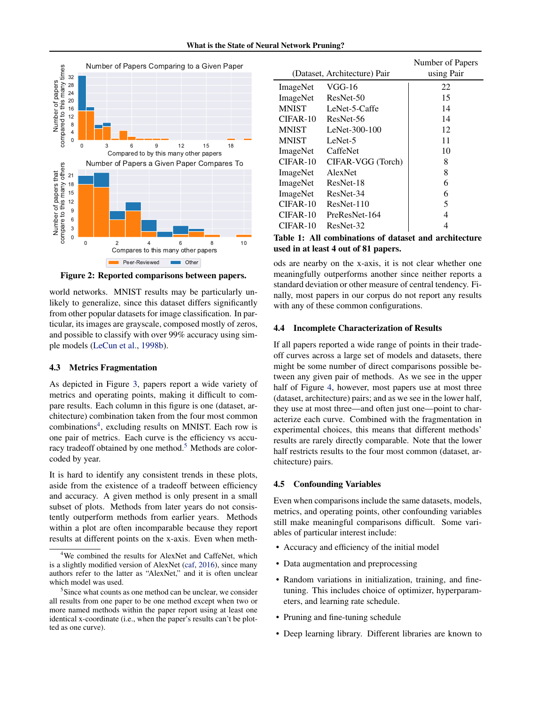What is the State of Neural Network Pruning?

<span id="page-4-0"></span>

Figure 2: Reported comparisons between papers.

world networks. MNIST results may be particularly unlikely to generalize, since this dataset differs significantly from other popular datasets for image classification. In particular, its images are grayscale, composed mostly of zeros, and possible to classify with over 99% accuracy using simple models [\(LeCun et al.,](#page-11-0) [1998b\)](#page-11-0).

### 4.3 Metrics Fragmentation

As depicted in Figure [3,](#page-5-0) papers report a wide variety of metrics and operating points, making it difficult to compare results. Each column in this figure is one (dataset, architecture) combination taken from the four most common combinations<sup>[4](#page-0-0)</sup>, excluding results on MNIST. Each row is one pair of metrics. Each curve is the efficiency vs accu-racy tradeoff obtained by one method.<sup>[5](#page-0-0)</sup> Methods are colorcoded by year.

It is hard to identify any consistent trends in these plots, aside from the existence of a tradeoff between efficiency and accuracy. A given method is only present in a small subset of plots. Methods from later years do not consistently outperform methods from earlier years. Methods within a plot are often incomparable because they report results at different points on the x-axis. Even when meth-

|              | (Dataset, Architecture) Pair | Number of Papers<br>using Pair |
|--------------|------------------------------|--------------------------------|
| ImageNet     | VGG-16                       | 22                             |
| ImageNet     | ResNet-50                    | 15                             |
| <b>MNIST</b> | LeNet-5-Caffe                | 14                             |
| $CIFAR-10$   | ResNet-56                    | 14                             |
| <b>MNIST</b> | LeNet-300-100                | 12                             |
| <b>MNIST</b> | LeNet-5                      | 11                             |
| ImageNet     | CaffeNet                     | 10                             |
| $CIFAR-10$   | CIFAR-VGG (Torch)            | 8                              |
| ImageNet     | <b>AlexNet</b>               | 8                              |
| ImageNet     | ResNet-18                    | 6                              |
| ImageNet     | ResNet-34                    | 6                              |
| $CIFAR-10$   | $ResNet-110$                 | 5                              |
| CIFAR-10     | PreResNet-164                | 4                              |
| CIFAR-10     | ResNet-32                    |                                |

Table 1: All combinations of dataset and architecture used in at least 4 out of 81 papers.

ods are nearby on the x-axis, it is not clear whether one meaningfully outperforms another since neither reports a standard deviation or other measure of central tendency. Finally, most papers in our corpus do not report any results with any of these common configurations.

#### 4.4 Incomplete Characterization of Results

If all papers reported a wide range of points in their tradeoff curves across a large set of models and datasets, there might be some number of direct comparisons possible between any given pair of methods. As we see in the upper half of Figure [4,](#page-6-0) however, most papers use at most three (dataset, architecture) pairs; and as we see in the lower half, they use at most three—and often just one—point to characterize each curve. Combined with the fragmentation in experimental choices, this means that different methods' results are rarely directly comparable. Note that the lower half restricts results to the four most common (dataset, architecture) pairs.

### 4.5 Confounding Variables

Even when comparisons include the same datasets, models, metrics, and operating points, other confounding variables still make meaningful comparisons difficult. Some variables of particular interest include:

- Accuracy and efficiency of the initial model
- Data augmentation and preprocessing
- Random variations in initialization, training, and finetuning. This includes choice of optimizer, hyperparameters, and learning rate schedule.
- Pruning and fine-tuning schedule
- Deep learning library. Different libraries are known to

<sup>&</sup>lt;sup>4</sup>We combined the results for AlexNet and CaffeNet, which is a slightly modified version of AlexNet [\(caf,](#page-10-0) [2016\)](#page-10-0), since many authors refer to the latter as "AlexNet," and it is often unclear which model was used.

<sup>&</sup>lt;sup>5</sup>Since what counts as one method can be unclear, we consider all results from one paper to be one method except when two or more named methods within the paper report using at least one identical x-coordinate (i.e., when the paper's results can't be plotted as one curve).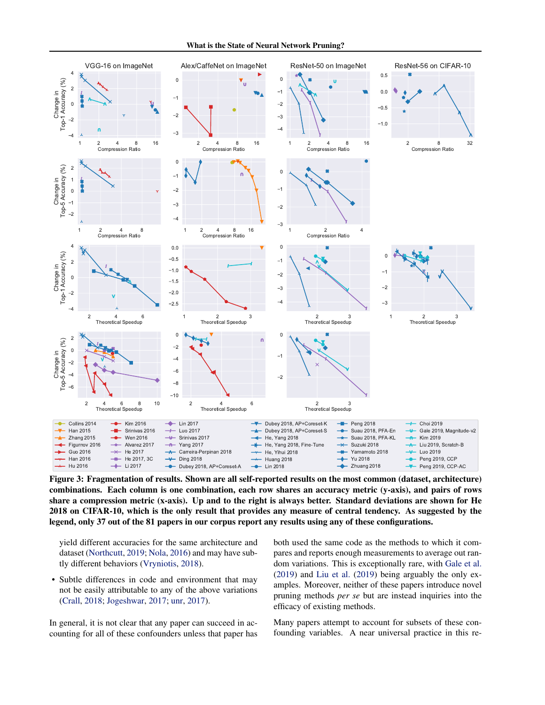What is the State of Neural Network Pruning?

<span id="page-5-0"></span>

Figure 3: Fragmentation of results. Shown are all self-reported results on the most common (dataset, architecture) combinations. Each column is one combination, each row shares an accuracy metric (y-axis), and pairs of rows share a compression metric (x-axis). Up and to the right is always better. Standard deviations are shown for He 2018 on CIFAR-10, which is the only result that provides any measure of central tendency. As suggested by the legend, only 37 out of the 81 papers in our corpus report any results using any of these configurations.

yield different accuracies for the same architecture and dataset [\(Northcutt,](#page-12-0) [2019;](#page-12-0) [Nola,](#page-12-0) [2016\)](#page-12-0) and may have subtly different behaviors [\(Vryniotis,](#page-12-0) [2018\)](#page-12-0).

• Subtle differences in code and environment that may not be easily attributable to any of the above variations [\(Crall,](#page-10-0) [2018;](#page-10-0) [Jogeshwar,](#page-11-0) [2017;](#page-11-0) [unr,](#page-10-0) [2017\)](#page-10-0).

In general, it is not clear that any paper can succeed in accounting for all of these confounders unless that paper has both used the same code as the methods to which it compares and reports enough measurements to average out random variations. This is exceptionally rare, with [Gale et al.](#page-10-0) [\(2019\)](#page-10-0) and [Liu et al.](#page-11-0) [\(2019\)](#page-11-0) being arguably the only examples. Moreover, neither of these papers introduce novel pruning methods *per se* but are instead inquiries into the efficacy of existing methods.

Many papers attempt to account for subsets of these confounding variables. A near universal practice in this re-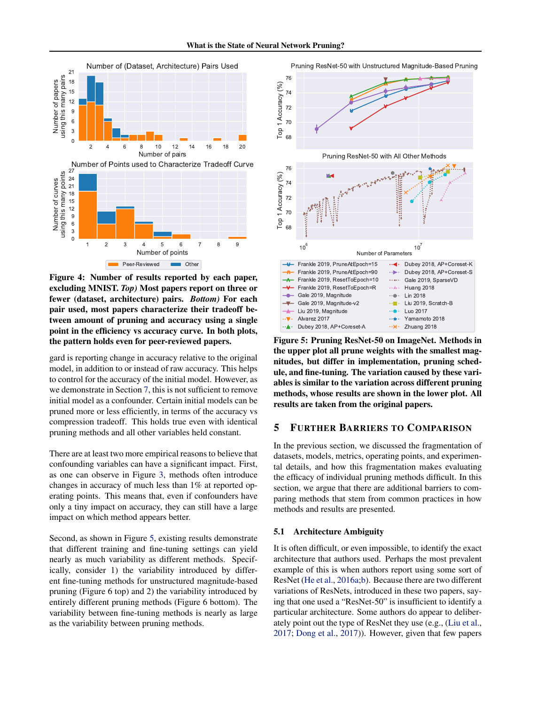<span id="page-6-0"></span>

Figure 4: Number of results reported by each paper, excluding MNIST. *Top)* Most papers report on three or fewer (dataset, architecture) pairs. *Bottom)* For each pair used, most papers characterize their tradeoff between amount of pruning and accuracy using a single point in the efficiency vs accuracy curve. In both plots, the pattern holds even for peer-reviewed papers.

gard is reporting change in accuracy relative to the original model, in addition to or instead of raw accuracy. This helps to control for the accuracy of the initial model. However, as we demonstrate in Section [7,](#page-8-0) this is not sufficient to remove initial model as a confounder. Certain initial models can be pruned more or less efficiently, in terms of the accuracy vs compression tradeoff. This holds true even with identical pruning methods and all other variables held constant.

There are at least two more empirical reasons to believe that confounding variables can have a significant impact. First, as one can observe in Figure [3,](#page-5-0) methods often introduce changes in accuracy of much less than 1% at reported operating points. This means that, even if confounders have only a tiny impact on accuracy, they can still have a large impact on which method appears better.

Second, as shown in Figure 5, existing results demonstrate that different training and fine-tuning settings can yield nearly as much variability as different methods. Specifically, consider 1) the variability introduced by different fine-tuning methods for unstructured magnitude-based pruning (Figure 6 top) and 2) the variability introduced by entirely different pruning methods (Figure 6 bottom). The variability between fine-tuning methods is nearly as large as the variability between pruning methods.

Pruning ResNet-50 with Unstructured Magnitude-Based Pruning



Figure 5: Pruning ResNet-50 on ImageNet. Methods in the upper plot all prune weights with the smallest magnitudes, but differ in implementation, pruning schedule, and fine-tuning. The variation caused by these variables is similar to the variation across different pruning methods, whose results are shown in the lower plot. All results are taken from the original papers.

# 5 FURTHER BARRIERS TO COMPARISON

In the previous section, we discussed the fragmentation of datasets, models, metrics, operating points, and experimental details, and how this fragmentation makes evaluating the efficacy of individual pruning methods difficult. In this section, we argue that there are additional barriers to comparing methods that stem from common practices in how methods and results are presented.

#### 5.1 Architecture Ambiguity

It is often difficult, or even impossible, to identify the exact architecture that authors used. Perhaps the most prevalent example of this is when authors report using some sort of ResNet [\(He et al.,](#page-10-0) [2016a;b\)](#page-10-0). Because there are two different variations of ResNets, introduced in these two papers, saying that one used a "ResNet-50" is insufficient to identify a particular architecture. Some authors do appear to deliberately point out the type of ResNet they use (e.g., [\(Liu et al.,](#page-11-0) [2017;](#page-11-0) [Dong et al.,](#page-10-0) [2017\)](#page-10-0)). However, given that few papers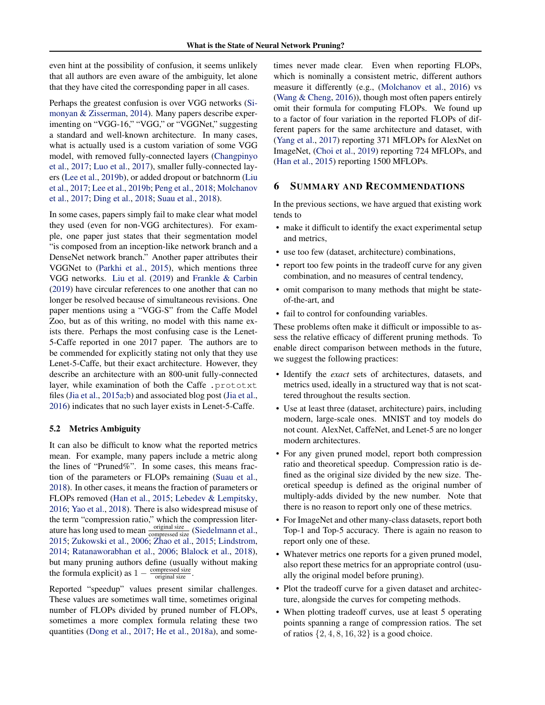even hint at the possibility of confusion, it seems unlikely that all authors are even aware of the ambiguity, let alone that they have cited the corresponding paper in all cases.

Perhaps the greatest confusion is over VGG networks [\(Si](#page-12-0)[monyan & Zisserman,](#page-12-0) [2014\)](#page-12-0). Many papers describe experimenting on "VGG-16," "VGG," or "VGGNet," suggesting a standard and well-known architecture. In many cases, what is actually used is a custom variation of some VGG model, with removed fully-connected layers [\(Changpinyo](#page-10-0) [et al.,](#page-10-0) [2017;](#page-10-0) [Luo et al.,](#page-12-0) [2017\)](#page-12-0), smaller fully-connected layers [\(Lee et al.,](#page-11-0) [2019b\)](#page-11-0), or added dropout or batchnorm [\(Liu](#page-11-0) [et al.,](#page-11-0) [2017;](#page-11-0) [Lee et al.,](#page-11-0) [2019b;](#page-11-0) [Peng et al.,](#page-12-0) [2018;](#page-12-0) [Molchanov](#page-12-0) [et al.,](#page-12-0) [2017;](#page-12-0) [Ding et al.,](#page-10-0) [2018;](#page-10-0) [Suau et al.,](#page-12-0) [2018\)](#page-12-0).

In some cases, papers simply fail to make clear what model they used (even for non-VGG architectures). For example, one paper just states that their segmentation model "is composed from an inception-like network branch and a DenseNet network branch." Another paper attributes their VGGNet to [\(Parkhi et al.,](#page-12-0) [2015\)](#page-12-0), which mentions three VGG networks. [Liu et al.](#page-11-0) [\(2019\)](#page-11-0) and [Frankle & Carbin](#page-10-0) [\(2019\)](#page-10-0) have circular references to one another that can no longer be resolved because of simultaneous revisions. One paper mentions using a "VGG-S" from the Caffe Model Zoo, but as of this writing, no model with this name exists there. Perhaps the most confusing case is the Lenet-5-Caffe reported in one 2017 paper. The authors are to be commended for explicitly stating not only that they use Lenet-5-Caffe, but their exact architecture. However, they describe an architecture with an 800-unit fully-connected layer, while examination of both the Caffe .prototxt files [\(Jia et al.,](#page-11-0) [2015a;b\)](#page-11-0) and associated blog post [\(Jia et al.,](#page-11-0) [2016\)](#page-11-0) indicates that no such layer exists in Lenet-5-Caffe.

### 5.2 Metrics Ambiguity

It can also be difficult to know what the reported metrics mean. For example, many papers include a metric along the lines of "Pruned%". In some cases, this means fraction of the parameters or FLOPs remaining [\(Suau et al.,](#page-12-0) [2018\)](#page-12-0). In other cases, it means the fraction of parameters or FLOPs removed [\(Han et al.,](#page-10-0) [2015;](#page-10-0) [Lebedev & Lempitsky,](#page-11-0) [2016;](#page-11-0) [Yao et al.,](#page-13-0) [2018\)](#page-13-0). There is also widespread misuse of the term "compression ratio," which the compression literature has long used to mean  $\frac{\text{original size}}{\text{compressed size}}$  [\(Siedelmann et al.,](#page-12-0) [2015;](#page-12-0) [Zukowski et al.,](#page-13-0) [2006;](#page-13-0) [Zhao et al.,](#page-13-0) [2015;](#page-13-0) [Lindstrom,](#page-11-0) [2014;](#page-11-0) [Ratanaworabhan et al.,](#page-12-0) [2006;](#page-12-0) [Blalock et al.,](#page-10-0) [2018\)](#page-10-0), but many pruning authors define (usually without making the formula explicit) as  $1 - \frac{\text{compressed size}}{\text{original size}}$ .

Reported "speedup" values present similar challenges. These values are sometimes wall time, sometimes original number of FLOPs divided by pruned number of FLOPs, sometimes a more complex formula relating these two quantities [\(Dong et al.,](#page-10-0) [2017;](#page-10-0) [He et al.,](#page-10-0) [2018a\)](#page-10-0), and sometimes never made clear. Even when reporting FLOPs, which is nominally a consistent metric, different authors measure it differently (e.g., [\(Molchanov et al.,](#page-12-0) [2016\)](#page-12-0) vs [\(Wang & Cheng,](#page-12-0) [2016\)](#page-12-0)), though most often papers entirely omit their formula for computing FLOPs. We found up to a factor of four variation in the reported FLOPs of different papers for the same architecture and dataset, with [\(Yang et al.,](#page-13-0) [2017\)](#page-13-0) reporting 371 MFLOPs for AlexNet on ImageNet, [\(Choi et al.,](#page-10-0) [2019\)](#page-10-0) reporting 724 MFLOPs, and [\(Han et al.,](#page-10-0) [2015\)](#page-10-0) reporting 1500 MFLOPs.

# 6 SUMMARY AND RECOMMENDATIONS

In the previous sections, we have argued that existing work tends to

- make it difficult to identify the exact experimental setup and metrics,
- use too few (dataset, architecture) combinations,
- report too few points in the tradeoff curve for any given combination, and no measures of central tendency,
- omit comparison to many methods that might be stateof-the-art, and
- fail to control for confounding variables.

These problems often make it difficult or impossible to assess the relative efficacy of different pruning methods. To enable direct comparison between methods in the future, we suggest the following practices:

- Identify the *exact* sets of architectures, datasets, and metrics used, ideally in a structured way that is not scattered throughout the results section.
- Use at least three (dataset, architecture) pairs, including modern, large-scale ones. MNIST and toy models do not count. AlexNet, CaffeNet, and Lenet-5 are no longer modern architectures.
- For any given pruned model, report both compression ratio and theoretical speedup. Compression ratio is defined as the original size divided by the new size. Theoretical speedup is defined as the original number of multiply-adds divided by the new number. Note that there is no reason to report only one of these metrics.
- For ImageNet and other many-class datasets, report both Top-1 and Top-5 accuracy. There is again no reason to report only one of these.
- Whatever metrics one reports for a given pruned model, also report these metrics for an appropriate control (usually the original model before pruning).
- Plot the tradeoff curve for a given dataset and architecture, alongside the curves for competing methods.
- When plotting tradeoff curves, use at least 5 operating points spanning a range of compression ratios. The set of ratios  $\{2, 4, 8, 16, 32\}$  is a good choice.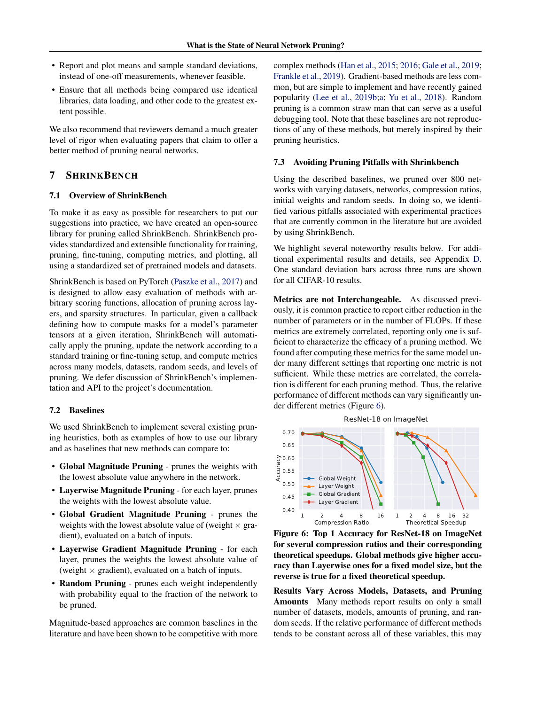- <span id="page-8-0"></span>• Report and plot means and sample standard deviations, instead of one-off measurements, whenever feasible.
- Ensure that all methods being compared use identical libraries, data loading, and other code to the greatest extent possible.

We also recommend that reviewers demand a much greater level of rigor when evaluating papers that claim to offer a better method of pruning neural networks.

# 7 SHRINKBENCH

# 7.1 Overview of ShrinkBench

To make it as easy as possible for researchers to put our suggestions into practice, we have created an open-source library for pruning called ShrinkBench. ShrinkBench provides standardized and extensible functionality for training, pruning, fine-tuning, computing metrics, and plotting, all using a standardized set of pretrained models and datasets.

ShrinkBench is based on PyTorch [\(Paszke et al.,](#page-12-0) [2017\)](#page-12-0) and is designed to allow easy evaluation of methods with arbitrary scoring functions, allocation of pruning across layers, and sparsity structures. In particular, given a callback defining how to compute masks for a model's parameter tensors at a given iteration, ShrinkBench will automatically apply the pruning, update the network according to a standard training or fine-tuning setup, and compute metrics across many models, datasets, random seeds, and levels of pruning. We defer discussion of ShrinkBench's implementation and API to the project's documentation.

#### 7.2 Baselines

We used ShrinkBench to implement several existing pruning heuristics, both as examples of how to use our library and as baselines that new methods can compare to:

- Global Magnitude Pruning prunes the weights with the lowest absolute value anywhere in the network.
- Layerwise Magnitude Pruning for each layer, prunes the weights with the lowest absolute value.
- Global Gradient Magnitude Pruning prunes the weights with the lowest absolute value of (weight  $\times$  gradient), evaluated on a batch of inputs.
- Layerwise Gradient Magnitude Pruning for each layer, prunes the weights the lowest absolute value of (weight  $\times$  gradient), evaluated on a batch of inputs.
- Random Pruning prunes each weight independently with probability equal to the fraction of the network to be pruned.

Magnitude-based approaches are common baselines in the literature and have been shown to be competitive with more complex methods [\(Han et al.,](#page-10-0) [2015;](#page-10-0) [2016;](#page-10-0) [Gale et al.,](#page-10-0) [2019;](#page-10-0) [Frankle et al.,](#page-10-0) [2019\)](#page-10-0). Gradient-based methods are less common, but are simple to implement and have recently gained popularity [\(Lee et al.,](#page-11-0) [2019b;a;](#page-11-0) [Yu et al.,](#page-13-0) [2018\)](#page-13-0). Random pruning is a common straw man that can serve as a useful debugging tool. Note that these baselines are not reproductions of any of these methods, but merely inspired by their pruning heuristics.

#### 7.3 Avoiding Pruning Pitfalls with Shrinkbench

Using the described baselines, we pruned over 800 networks with varying datasets, networks, compression ratios, initial weights and random seeds. In doing so, we identified various pitfalls associated with experimental practices that are currently common in the literature but are avoided by using ShrinkBench.

We highlight several noteworthy results below. For additional experimental results and details, see Appendix [D.](#page-15-0) One standard deviation bars across three runs are shown for all CIFAR-10 results.

Metrics are not Interchangeable. As discussed previously, it is common practice to report either reduction in the number of parameters or in the number of FLOPs. If these metrics are extremely correlated, reporting only one is sufficient to characterize the efficacy of a pruning method. We found after computing these metrics for the same model under many different settings that reporting one metric is not sufficient. While these metrics are correlated, the correlation is different for each pruning method. Thus, the relative performance of different methods can vary significantly under different metrics (Figure 6).



Figure 6: Top 1 Accuracy for ResNet-18 on ImageNet for several compression ratios and their corresponding theoretical speedups. Global methods give higher accuracy than Layerwise ones for a fixed model size, but the reverse is true for a fixed theoretical speedup.

Results Vary Across Models, Datasets, and Pruning Amounts Many methods report results on only a small number of datasets, models, amounts of pruning, and random seeds. If the relative performance of different methods tends to be constant across all of these variables, this may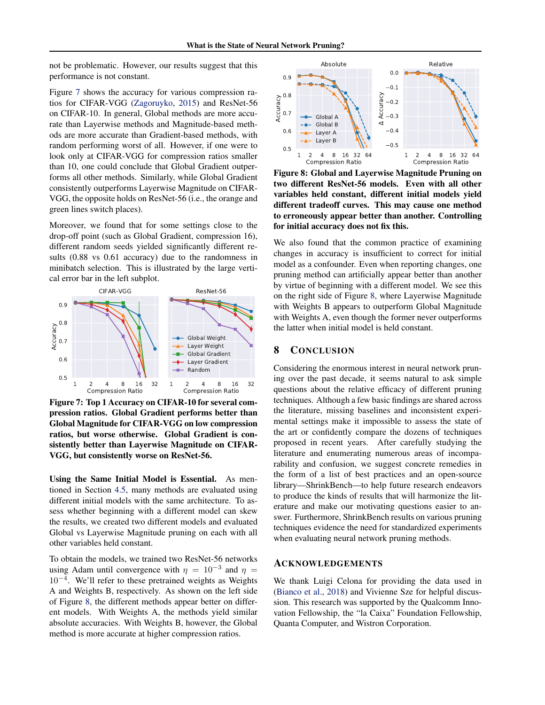not be problematic. However, our results suggest that this performance is not constant.

Figure 7 shows the accuracy for various compression ratios for CIFAR-VGG [\(Zagoruyko,](#page-13-0) [2015\)](#page-13-0) and ResNet-56 on CIFAR-10. In general, Global methods are more accurate than Layerwise methods and Magnitude-based methods are more accurate than Gradient-based methods, with random performing worst of all. However, if one were to look only at CIFAR-VGG for compression ratios smaller than 10, one could conclude that Global Gradient outperforms all other methods. Similarly, while Global Gradient consistently outperforms Layerwise Magnitude on CIFAR-VGG, the opposite holds on ResNet-56 (i.e., the orange and green lines switch places).

Moreover, we found that for some settings close to the drop-off point (such as Global Gradient, compression 16), different random seeds yielded significantly different results (0.88 vs 0.61 accuracy) due to the randomness in minibatch selection. This is illustrated by the large vertical error bar in the left subplot.



Figure 7: Top 1 Accuracy on CIFAR-10 for several compression ratios. Global Gradient performs better than Global Magnitude for CIFAR-VGG on low compression ratios, but worse otherwise. Global Gradient is consistently better than Layerwise Magnitude on CIFAR-VGG, but consistently worse on ResNet-56.

Using the Same Initial Model is Essential. As mentioned in Section [4.5,](#page-4-0) many methods are evaluated using different initial models with the same architecture. To assess whether beginning with a different model can skew the results, we created two different models and evaluated Global vs Layerwise Magnitude pruning on each with all other variables held constant.

To obtain the models, we trained two ResNet-56 networks using Adam until convergence with  $\eta = 10^{-3}$  and  $\eta =$ 10<sup>−</sup><sup>4</sup> . We'll refer to these pretrained weights as Weights A and Weights B, respectively. As shown on the left side of Figure 8, the different methods appear better on different models. With Weights A, the methods yield similar absolute accuracies. With Weights B, however, the Global method is more accurate at higher compression ratios.



Figure 8: Global and Layerwise Magnitude Pruning on two different ResNet-56 models. Even with all other variables held constant, different initial models yield different tradeoff curves. This may cause one method to erroneously appear better than another. Controlling for initial accuracy does not fix this.

We also found that the common practice of examining changes in accuracy is insufficient to correct for initial model as a confounder. Even when reporting changes, one pruning method can artificially appear better than another by virtue of beginning with a different model. We see this on the right side of Figure 8, where Layerwise Magnitude with Weights B appears to outperform Global Magnitude with Weights A, even though the former never outperforms the latter when initial model is held constant.

# 8 CONCLUSION

Considering the enormous interest in neural network pruning over the past decade, it seems natural to ask simple questions about the relative efficacy of different pruning techniques. Although a few basic findings are shared across the literature, missing baselines and inconsistent experimental settings make it impossible to assess the state of the art or confidently compare the dozens of techniques proposed in recent years. After carefully studying the literature and enumerating numerous areas of incomparability and confusion, we suggest concrete remedies in the form of a list of best practices and an open-source library—ShrinkBench—to help future research endeavors to produce the kinds of results that will harmonize the literature and make our motivating questions easier to answer. Furthermore, ShrinkBench results on various pruning techniques evidence the need for standardized experiments when evaluating neural network pruning methods.

#### ACKNOWLEDGEMENTS

We thank Luigi Celona for providing the data used in [\(Bianco et al.,](#page-10-0) [2018\)](#page-10-0) and Vivienne Sze for helpful discussion. This research was supported by the Qualcomm Innovation Fellowship, the "la Caixa" Foundation Fellowship, Quanta Computer, and Wistron Corporation.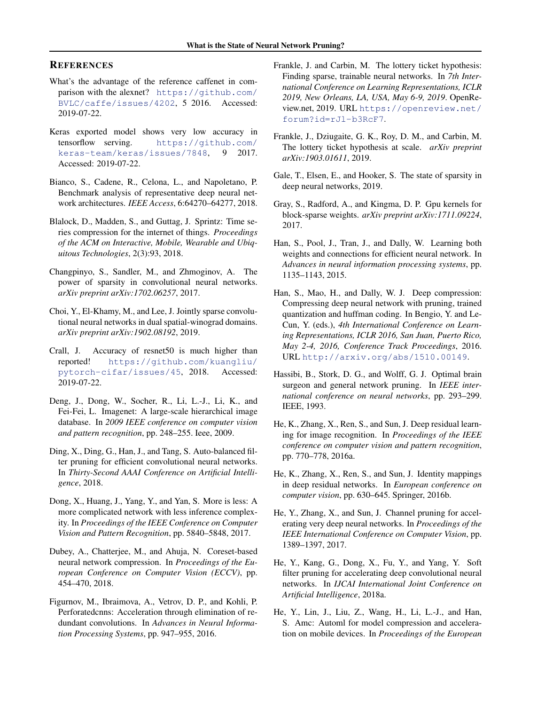# <span id="page-10-0"></span>**REFERENCES**

- What's the advantage of the reference caffenet in comparison with the alexnet? [https://github.com/](https://github.com/BVLC/caffe/issues/4202) [BVLC/caffe/issues/4202](https://github.com/BVLC/caffe/issues/4202), 5 2016. Accessed: 2019-07-22.
- Keras exported model shows very low accuracy in tensorflow serving. [https://github.com/](https://github.com/keras-team/keras/issues/7848) [keras-team/keras/issues/7848](https://github.com/keras-team/keras/issues/7848), 9 2017. Accessed: 2019-07-22.
- Bianco, S., Cadene, R., Celona, L., and Napoletano, P. Benchmark analysis of representative deep neural network architectures. *IEEE Access*, 6:64270–64277, 2018.
- Blalock, D., Madden, S., and Guttag, J. Sprintz: Time series compression for the internet of things. *Proceedings of the ACM on Interactive, Mobile, Wearable and Ubiquitous Technologies*, 2(3):93, 2018.
- Changpinyo, S., Sandler, M., and Zhmoginov, A. The power of sparsity in convolutional neural networks. *arXiv preprint arXiv:1702.06257*, 2017.
- Choi, Y., El-Khamy, M., and Lee, J. Jointly sparse convolutional neural networks in dual spatial-winograd domains. *arXiv preprint arXiv:1902.08192*, 2019.
- Crall, J. Accuracy of resnet50 is much higher than reported! [https://github.com/kuangliu/](https://github.com/kuangliu/pytorch-cifar/issues/45) [pytorch-cifar/issues/45](https://github.com/kuangliu/pytorch-cifar/issues/45), 2018. Accessed: 2019-07-22.
- Deng, J., Dong, W., Socher, R., Li, L.-J., Li, K., and Fei-Fei, L. Imagenet: A large-scale hierarchical image database. In *2009 IEEE conference on computer vision and pattern recognition*, pp. 248–255. Ieee, 2009.
- Ding, X., Ding, G., Han, J., and Tang, S. Auto-balanced filter pruning for efficient convolutional neural networks. In *Thirty-Second AAAI Conference on Artificial Intelligence*, 2018.
- Dong, X., Huang, J., Yang, Y., and Yan, S. More is less: A more complicated network with less inference complexity. In *Proceedings of the IEEE Conference on Computer Vision and Pattern Recognition*, pp. 5840–5848, 2017.
- Dubey, A., Chatterjee, M., and Ahuja, N. Coreset-based neural network compression. In *Proceedings of the European Conference on Computer Vision (ECCV)*, pp. 454–470, 2018.
- Figurnov, M., Ibraimova, A., Vetrov, D. P., and Kohli, P. Perforatedcnns: Acceleration through elimination of redundant convolutions. In *Advances in Neural Information Processing Systems*, pp. 947–955, 2016.
- Frankle, J. and Carbin, M. The lottery ticket hypothesis: Finding sparse, trainable neural networks. In *7th International Conference on Learning Representations, ICLR 2019, New Orleans, LA, USA, May 6-9, 2019*. OpenReview.net, 2019. URL [https://openreview.net/](https://openreview.net/forum?id=rJl-b3RcF7) [forum?id=rJl-b3RcF7](https://openreview.net/forum?id=rJl-b3RcF7).
- Frankle, J., Dziugaite, G. K., Roy, D. M., and Carbin, M. The lottery ticket hypothesis at scale. *arXiv preprint arXiv:1903.01611*, 2019.
- Gale, T., Elsen, E., and Hooker, S. The state of sparsity in deep neural networks, 2019.
- Gray, S., Radford, A., and Kingma, D. P. Gpu kernels for block-sparse weights. *arXiv preprint arXiv:1711.09224*, 2017.
- Han, S., Pool, J., Tran, J., and Dally, W. Learning both weights and connections for efficient neural network. In *Advances in neural information processing systems*, pp. 1135–1143, 2015.
- Han, S., Mao, H., and Dally, W. J. Deep compression: Compressing deep neural network with pruning, trained quantization and huffman coding. In Bengio, Y. and Le-Cun, Y. (eds.), *4th International Conference on Learning Representations, ICLR 2016, San Juan, Puerto Rico, May 2-4, 2016, Conference Track Proceedings*, 2016. URL <http://arxiv.org/abs/1510.00149>.
- Hassibi, B., Stork, D. G., and Wolff, G. J. Optimal brain surgeon and general network pruning. In *IEEE international conference on neural networks*, pp. 293–299. IEEE, 1993.
- He, K., Zhang, X., Ren, S., and Sun, J. Deep residual learning for image recognition. In *Proceedings of the IEEE conference on computer vision and pattern recognition*, pp. 770–778, 2016a.
- He, K., Zhang, X., Ren, S., and Sun, J. Identity mappings in deep residual networks. In *European conference on computer vision*, pp. 630–645. Springer, 2016b.
- He, Y., Zhang, X., and Sun, J. Channel pruning for accelerating very deep neural networks. In *Proceedings of the IEEE International Conference on Computer Vision*, pp. 1389–1397, 2017.
- He, Y., Kang, G., Dong, X., Fu, Y., and Yang, Y. Soft filter pruning for accelerating deep convolutional neural networks. In *IJCAI International Joint Conference on Artificial Intelligence*, 2018a.
- He, Y., Lin, J., Liu, Z., Wang, H., Li, L.-J., and Han, S. Amc: Automl for model compression and acceleration on mobile devices. In *Proceedings of the European*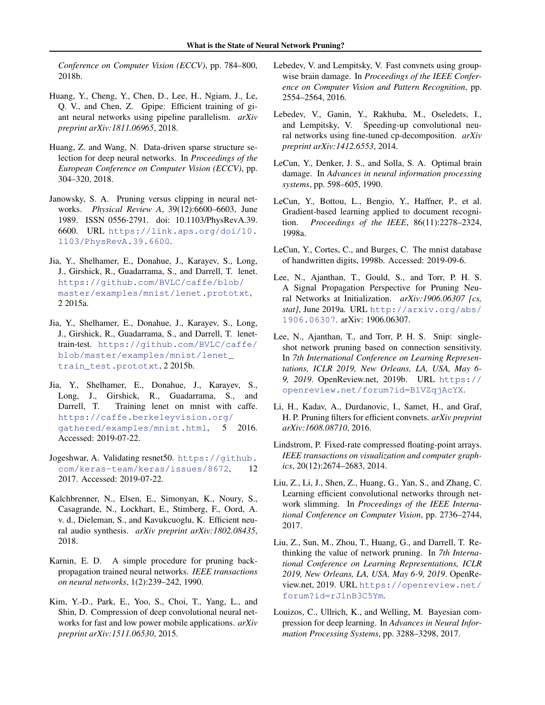<span id="page-11-0"></span>*Conference on Computer Vision (ECCV)*, pp. 784–800, 2018b.

- Huang, Y., Cheng, Y., Chen, D., Lee, H., Ngiam, J., Le, Q. V., and Chen, Z. Gpipe: Efficient training of giant neural networks using pipeline parallelism. *arXiv preprint arXiv:1811.06965*, 2018.
- Huang, Z. and Wang, N. Data-driven sparse structure selection for deep neural networks. In *Proceedings of the European Conference on Computer Vision (ECCV)*, pp. 304–320, 2018.
- Janowsky, S. A. Pruning versus clipping in neural networks. *Physical Review A*, 39(12):6600–6603, June 1989. ISSN 0556-2791. doi: 10.1103/PhysRevA.39. 6600. URL [https://link.aps.org/doi/10.](https://link.aps.org/doi/10.1103/PhysRevA.39.6600) [1103/PhysRevA.39.6600](https://link.aps.org/doi/10.1103/PhysRevA.39.6600).
- Jia, Y., Shelhamer, E., Donahue, J., Karayev, S., Long, J., Girshick, R., Guadarrama, S., and Darrell, T. lenet. [https://github.com/BVLC/caffe/blob/](https://github.com/BVLC/caffe/blob/master/examples/mnist/lenet.prototxt) [master/examples/mnist/lenet.prototxt](https://github.com/BVLC/caffe/blob/master/examples/mnist/lenet.prototxt), 2 2015a.
- Jia, Y., Shelhamer, E., Donahue, J., Karayev, S., Long, J., Girshick, R., Guadarrama, S., and Darrell, T. lenettrain-test. [https://github.com/BVLC/caffe/](https://github.com/BVLC/caffe/blob/master/examples/mnist/lenet_train_test.prototxt) [blob/master/examples/mnist/lenet\\_](https://github.com/BVLC/caffe/blob/master/examples/mnist/lenet_train_test.prototxt) [train\\_test.prototxt](https://github.com/BVLC/caffe/blob/master/examples/mnist/lenet_train_test.prototxt), 2 2015b.
- Jia, Y., Shelhamer, E., Donahue, J., Karayev, S., Long, J., Girshick, R., Guadarrama, S., and Darrell, T. Training lenet on mnist with caffe. [https://caffe.berkeleyvision.org/](https://caffe.berkeleyvision.org/gathered/examples/mnist.html) [gathered/examples/mnist.html](https://caffe.berkeleyvision.org/gathered/examples/mnist.html), 5 2016. Accessed: 2019-07-22.
- Jogeshwar, A. Validating resnet50. [https://github.](https://github.com/keras-team/keras/issues/8672) [com/keras-team/keras/issues/8672](https://github.com/keras-team/keras/issues/8672), 12 2017. Accessed: 2019-07-22.
- Kalchbrenner, N., Elsen, E., Simonyan, K., Noury, S., Casagrande, N., Lockhart, E., Stimberg, F., Oord, A. v. d., Dieleman, S., and Kavukcuoglu, K. Efficient neural audio synthesis. *arXiv preprint arXiv:1802.08435*, 2018.
- Karnin, E. D. A simple procedure for pruning backpropagation trained neural networks. *IEEE transactions on neural networks*, 1(2):239–242, 1990.
- Kim, Y.-D., Park, E., Yoo, S., Choi, T., Yang, L., and Shin, D. Compression of deep convolutional neural networks for fast and low power mobile applications. *arXiv preprint arXiv:1511.06530*, 2015.
- Lebedev, V. and Lempitsky, V. Fast convnets using groupwise brain damage. In *Proceedings of the IEEE Conference on Computer Vision and Pattern Recognition*, pp. 2554–2564, 2016.
- Lebedev, V., Ganin, Y., Rakhuba, M., Oseledets, I., and Lempitsky, V. Speeding-up convolutional neural networks using fine-tuned cp-decomposition. *arXiv preprint arXiv:1412.6553*, 2014.
- LeCun, Y., Denker, J. S., and Solla, S. A. Optimal brain damage. In *Advances in neural information processing systems*, pp. 598–605, 1990.
- LeCun, Y., Bottou, L., Bengio, Y., Haffner, P., et al. Gradient-based learning applied to document recognition. *Proceedings of the IEEE*, 86(11):2278–2324, 1998a.
- LeCun, Y., Cortes, C., and Burges, C. The mnist database of handwritten digits, 1998b. Accessed: 2019-09-6.
- Lee, N., Ajanthan, T., Gould, S., and Torr, P. H. S. A Signal Propagation Perspective for Pruning Neural Networks at Initialization. *arXiv:1906.06307 [cs, stat]*, June 2019a. URL [http://arxiv.org/abs/](http://arxiv.org/abs/1906.06307) [1906.06307](http://arxiv.org/abs/1906.06307). arXiv: 1906.06307.
- Lee, N., Ajanthan, T., and Torr, P. H. S. Snip: singleshot network pruning based on connection sensitivity. In *7th International Conference on Learning Representations, ICLR 2019, New Orleans, LA, USA, May 6- 9, 2019*. OpenReview.net, 2019b. URL [https://](https://openreview.net/forum?id=B1VZqjAcYX) [openreview.net/forum?id=B1VZqjAcYX](https://openreview.net/forum?id=B1VZqjAcYX).
- Li, H., Kadav, A., Durdanovic, I., Samet, H., and Graf, H. P. Pruning filters for efficient convnets. *arXiv preprint arXiv:1608.08710*, 2016.
- Lindstrom, P. Fixed-rate compressed floating-point arrays. *IEEE transactions on visualization and computer graphics*, 20(12):2674–2683, 2014.
- Liu, Z., Li, J., Shen, Z., Huang, G., Yan, S., and Zhang, C. Learning efficient convolutional networks through network slimming. In *Proceedings of the IEEE International Conference on Computer Vision*, pp. 2736–2744, 2017.
- Liu, Z., Sun, M., Zhou, T., Huang, G., and Darrell, T. Rethinking the value of network pruning. In *7th International Conference on Learning Representations, ICLR 2019, New Orleans, LA, USA, May 6-9, 2019*. OpenReview.net, 2019. URL [https://openreview.net/](https://openreview.net/forum?id=rJlnB3C5Ym) [forum?id=rJlnB3C5Ym](https://openreview.net/forum?id=rJlnB3C5Ym).
- Louizos, C., Ullrich, K., and Welling, M. Bayesian compression for deep learning. In *Advances in Neural Information Processing Systems*, pp. 3288–3298, 2017.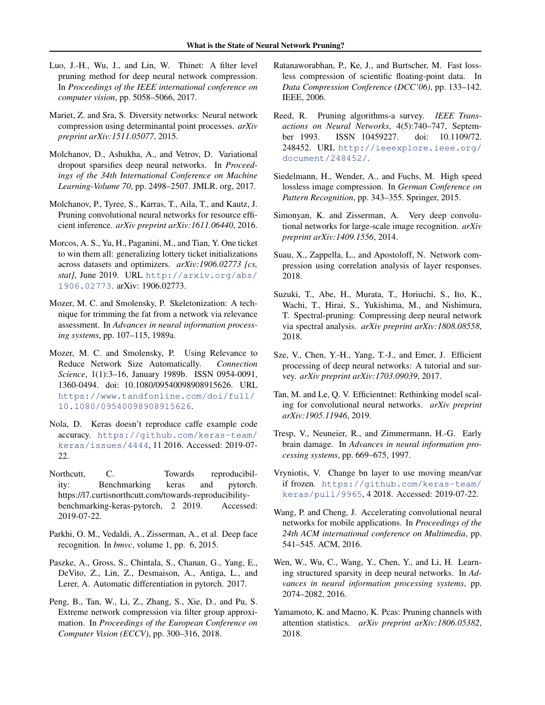- <span id="page-12-0"></span>Luo, J.-H., Wu, J., and Lin, W. Thinet: A filter level pruning method for deep neural network compression. In *Proceedings of the IEEE international conference on computer vision*, pp. 5058–5066, 2017.
- Mariet, Z. and Sra, S. Diversity networks: Neural network compression using determinantal point processes. *arXiv preprint arXiv:1511.05077*, 2015.
- Molchanov, D., Ashukha, A., and Vetrov, D. Variational dropout sparsifies deep neural networks. In *Proceedings of the 34th International Conference on Machine Learning-Volume 70*, pp. 2498–2507. JMLR. org, 2017.
- Molchanov, P., Tyree, S., Karras, T., Aila, T., and Kautz, J. Pruning convolutional neural networks for resource efficient inference. *arXiv preprint arXiv:1611.06440*, 2016.
- Morcos, A. S., Yu, H., Paganini, M., and Tian, Y. One ticket to win them all: generalizing lottery ticket initializations across datasets and optimizers. *arXiv:1906.02773 [cs, stat]*, June 2019. URL [http://arxiv.org/abs/](http://arxiv.org/abs/1906.02773) [1906.02773](http://arxiv.org/abs/1906.02773). arXiv: 1906.02773.
- Mozer, M. C. and Smolensky, P. Skeletonization: A technique for trimming the fat from a network via relevance assessment. In *Advances in neural information processing systems*, pp. 107–115, 1989a.
- Mozer, M. C. and Smolensky, P. Using Relevance to Reduce Network Size Automatically. *Connection Science*, 1(1):3–16, January 1989b. ISSN 0954-0091, 1360-0494. doi: 10.1080/09540098908915626. URL [https://www.tandfonline.com/doi/full/](https://www.tandfonline.com/doi/full/10.1080/09540098908915626) [10.1080/09540098908915626](https://www.tandfonline.com/doi/full/10.1080/09540098908915626).
- Nola, D. Keras doesn't reproduce caffe example code accuracy. [https://github.com/keras-team/](https://github.com/keras-team/keras/issues/4444) [keras/issues/4444](https://github.com/keras-team/keras/issues/4444), 11 2016. Accessed: 2019-07- 22.
- Northcutt, C. Towards reproducibility: Benchmarking keras and pytorch. https://l7.curtisnorthcutt.com/towards-reproducibilitybenchmarking-keras-pytorch, 2 2019. Accessed: 2019-07-22.
- Parkhi, O. M., Vedaldi, A., Zisserman, A., et al. Deep face recognition. In *bmvc*, volume 1, pp. 6, 2015.
- Paszke, A., Gross, S., Chintala, S., Chanan, G., Yang, E., DeVito, Z., Lin, Z., Desmaison, A., Antiga, L., and Lerer, A. Automatic differentiation in pytorch. 2017.
- Peng, B., Tan, W., Li, Z., Zhang, S., Xie, D., and Pu, S. Extreme network compression via filter group approximation. In *Proceedings of the European Conference on Computer Vision (ECCV)*, pp. 300–316, 2018.
- Ratanaworabhan, P., Ke, J., and Burtscher, M. Fast lossless compression of scientific floating-point data. In *Data Compression Conference (DCC'06)*, pp. 133–142. IEEE, 2006.
- Reed, R. Pruning algorithms-a survey. *IEEE Transactions on Neural Networks*, 4(5):740–747, September 1993. ISSN 10459227. doi: 10.1109/72. 248452. URL [http://ieeexplore.ieee.org/](http://ieeexplore.ieee.org/document/248452/) [document/248452/](http://ieeexplore.ieee.org/document/248452/).
- Siedelmann, H., Wender, A., and Fuchs, M. High speed lossless image compression. In *German Conference on Pattern Recognition*, pp. 343–355. Springer, 2015.
- Simonyan, K. and Zisserman, A. Very deep convolutional networks for large-scale image recognition. *arXiv preprint arXiv:1409.1556*, 2014.
- Suau, X., Zappella, L., and Apostoloff, N. Network compression using correlation analysis of layer responses. 2018.
- Suzuki, T., Abe, H., Murata, T., Horiuchi, S., Ito, K., Wachi, T., Hirai, S., Yukishima, M., and Nishimura, T. Spectral-pruning: Compressing deep neural network via spectral analysis. *arXiv preprint arXiv:1808.08558*, 2018.
- Sze, V., Chen, Y.-H., Yang, T.-J., and Emer, J. Efficient processing of deep neural networks: A tutorial and survey. *arXiv preprint arXiv:1703.09039*, 2017.
- Tan, M. and Le, Q. V. Efficientnet: Rethinking model scaling for convolutional neural networks. *arXiv preprint arXiv:1905.11946*, 2019.
- Tresp, V., Neuneier, R., and Zimmermann, H.-G. Early brain damage. In *Advances in neural information processing systems*, pp. 669–675, 1997.
- Vryniotis, V. Change bn layer to use moving mean/var if frozen. [https://github.com/keras-team/](https://github.com/keras-team/keras/pull/9965) [keras/pull/9965](https://github.com/keras-team/keras/pull/9965), 4 2018. Accessed: 2019-07-22.
- Wang, P. and Cheng, J. Accelerating convolutional neural networks for mobile applications. In *Proceedings of the 24th ACM international conference on Multimedia*, pp. 541–545. ACM, 2016.
- Wen, W., Wu, C., Wang, Y., Chen, Y., and Li, H. Learning structured sparsity in deep neural networks. In *Advances in neural information processing systems*, pp. 2074–2082, 2016.
- Yamamoto, K. and Maeno, K. Pcas: Pruning channels with attention statistics. *arXiv preprint arXiv:1806.05382*, 2018.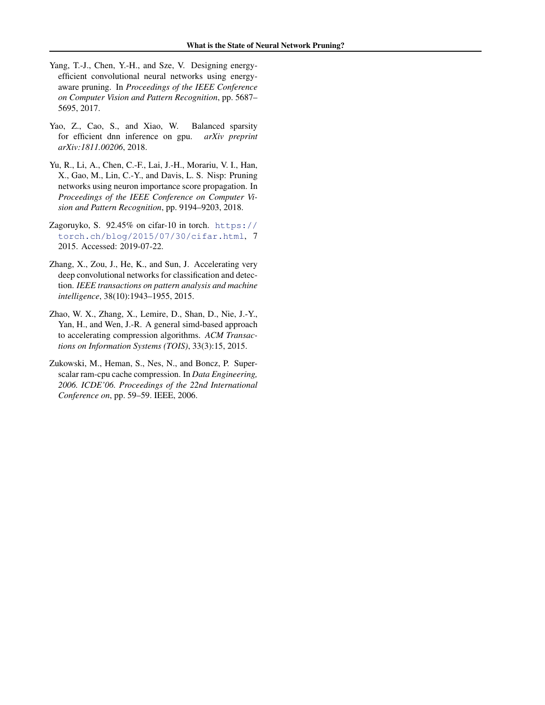- <span id="page-13-0"></span>Yang, T.-J., Chen, Y.-H., and Sze, V. Designing energyefficient convolutional neural networks using energyaware pruning. In *Proceedings of the IEEE Conference on Computer Vision and Pattern Recognition*, pp. 5687– 5695, 2017.
- Yao, Z., Cao, S., and Xiao, W. Balanced sparsity for efficient dnn inference on gpu. *arXiv preprint arXiv:1811.00206*, 2018.
- Yu, R., Li, A., Chen, C.-F., Lai, J.-H., Morariu, V. I., Han, X., Gao, M., Lin, C.-Y., and Davis, L. S. Nisp: Pruning networks using neuron importance score propagation. In *Proceedings of the IEEE Conference on Computer Vision and Pattern Recognition*, pp. 9194–9203, 2018.
- Zagoruyko, S. 92.45% on cifar-10 in torch. [https://](https://torch.ch/blog/2015/07/30/cifar.html) [torch.ch/blog/2015/07/30/cifar.html](https://torch.ch/blog/2015/07/30/cifar.html), 7 2015. Accessed: 2019-07-22.
- Zhang, X., Zou, J., He, K., and Sun, J. Accelerating very deep convolutional networks for classification and detection. *IEEE transactions on pattern analysis and machine intelligence*, 38(10):1943–1955, 2015.
- Zhao, W. X., Zhang, X., Lemire, D., Shan, D., Nie, J.-Y., Yan, H., and Wen, J.-R. A general simd-based approach to accelerating compression algorithms. *ACM Transactions on Information Systems (TOIS)*, 33(3):15, 2015.
- Zukowski, M., Heman, S., Nes, N., and Boncz, P. Superscalar ram-cpu cache compression. In *Data Engineering, 2006. ICDE'06. Proceedings of the 22nd International Conference on*, pp. 59–59. IEEE, 2006.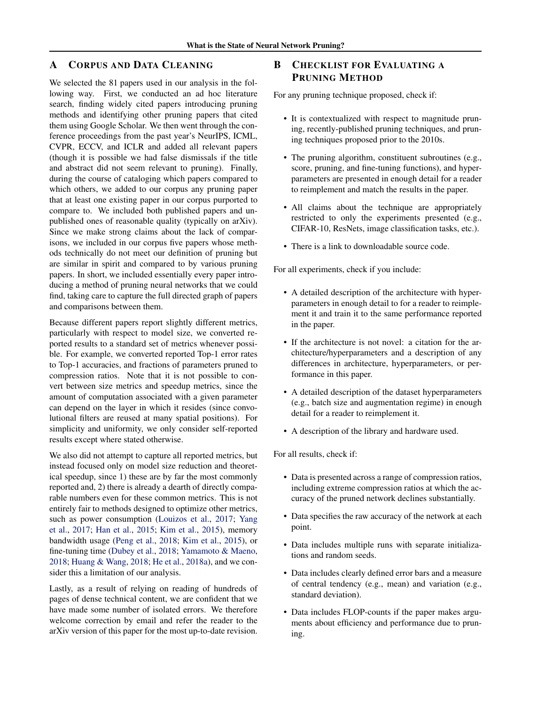# <span id="page-14-0"></span>A CORPUS AND DATA CLEANING

We selected the 81 papers used in our analysis in the following way. First, we conducted an ad hoc literature search, finding widely cited papers introducing pruning methods and identifying other pruning papers that cited them using Google Scholar. We then went through the conference proceedings from the past year's NeurIPS, ICML, CVPR, ECCV, and ICLR and added all relevant papers (though it is possible we had false dismissals if the title and abstract did not seem relevant to pruning). Finally, during the course of cataloging which papers compared to which others, we added to our corpus any pruning paper that at least one existing paper in our corpus purported to compare to. We included both published papers and unpublished ones of reasonable quality (typically on arXiv). Since we make strong claims about the lack of comparisons, we included in our corpus five papers whose methods technically do not meet our definition of pruning but are similar in spirit and compared to by various pruning papers. In short, we included essentially every paper introducing a method of pruning neural networks that we could find, taking care to capture the full directed graph of papers and comparisons between them.

Because different papers report slightly different metrics, particularly with respect to model size, we converted reported results to a standard set of metrics whenever possible. For example, we converted reported Top-1 error rates to Top-1 accuracies, and fractions of parameters pruned to compression ratios. Note that it is not possible to convert between size metrics and speedup metrics, since the amount of computation associated with a given parameter can depend on the layer in which it resides (since convolutional filters are reused at many spatial positions). For simplicity and uniformity, we only consider self-reported results except where stated otherwise.

We also did not attempt to capture all reported metrics, but instead focused only on model size reduction and theoretical speedup, since 1) these are by far the most commonly reported and, 2) there is already a dearth of directly comparable numbers even for these common metrics. This is not entirely fair to methods designed to optimize other metrics, such as power consumption [\(Louizos et al.,](#page-11-0) [2017;](#page-11-0) [Yang](#page-13-0) [et al.,](#page-13-0) [2017;](#page-13-0) [Han et al.,](#page-10-0) [2015;](#page-10-0) [Kim et al.,](#page-11-0) [2015\)](#page-11-0), memory bandwidth usage [\(Peng et al.,](#page-12-0) [2018;](#page-12-0) [Kim et al.,](#page-11-0) [2015\)](#page-11-0), or fine-tuning time [\(Dubey et al.,](#page-10-0) [2018;](#page-10-0) [Yamamoto & Maeno,](#page-12-0) [2018;](#page-12-0) [Huang & Wang,](#page-11-0) [2018;](#page-11-0) [He et al.,](#page-10-0) [2018a\)](#page-10-0), and we consider this a limitation of our analysis.

Lastly, as a result of relying on reading of hundreds of pages of dense technical content, we are confident that we have made some number of isolated errors. We therefore welcome correction by email and refer the reader to the arXiv version of this paper for the most up-to-date revision.

# B CHECKLIST FOR EVALUATING A PRUNING METHOD

For any pruning technique proposed, check if:

- It is contextualized with respect to magnitude pruning, recently-published pruning techniques, and pruning techniques proposed prior to the 2010s.
- The pruning algorithm, constituent subroutines (e.g., score, pruning, and fine-tuning functions), and hyperparameters are presented in enough detail for a reader to reimplement and match the results in the paper.
- All claims about the technique are appropriately restricted to only the experiments presented (e.g., CIFAR-10, ResNets, image classification tasks, etc.).
- There is a link to downloadable source code.

For all experiments, check if you include:

- A detailed description of the architecture with hyperparameters in enough detail to for a reader to reimplement it and train it to the same performance reported in the paper.
- If the architecture is not novel: a citation for the architecture/hyperparameters and a description of any differences in architecture, hyperparameters, or performance in this paper.
- A detailed description of the dataset hyperparameters (e.g., batch size and augmentation regime) in enough detail for a reader to reimplement it.
- A description of the library and hardware used.

For all results, check if:

- Data is presented across a range of compression ratios, including extreme compression ratios at which the accuracy of the pruned network declines substantially.
- Data specifies the raw accuracy of the network at each point.
- Data includes multiple runs with separate initializations and random seeds.
- Data includes clearly defined error bars and a measure of central tendency (e.g., mean) and variation (e.g., standard deviation).
- Data includes FLOP-counts if the paper makes arguments about efficiency and performance due to pruning.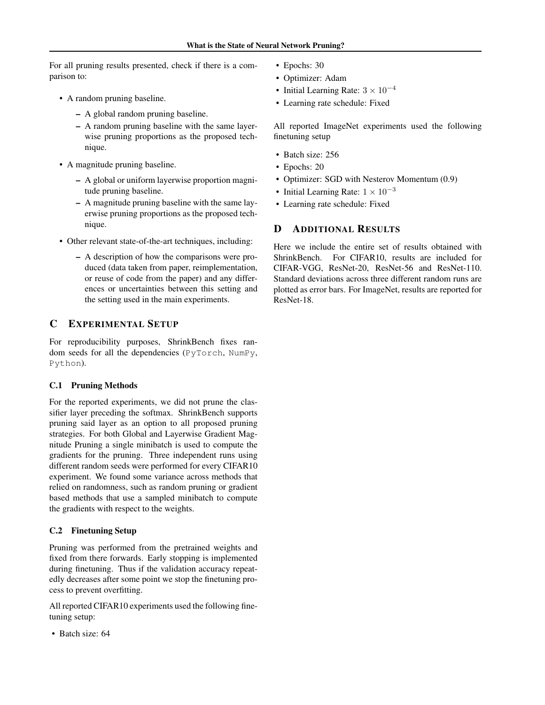<span id="page-15-0"></span>For all pruning results presented, check if there is a comparison to:

- A random pruning baseline.
	- A global random pruning baseline.
	- A random pruning baseline with the same layerwise pruning proportions as the proposed technique.
- A magnitude pruning baseline.
	- A global or uniform layerwise proportion magnitude pruning baseline.
	- A magnitude pruning baseline with the same layerwise pruning proportions as the proposed technique.
- Other relevant state-of-the-art techniques, including:
	- A description of how the comparisons were produced (data taken from paper, reimplementation, or reuse of code from the paper) and any differences or uncertainties between this setting and the setting used in the main experiments.

# C EXPERIMENTAL SETUP

For reproducibility purposes, ShrinkBench fixes random seeds for all the dependencies (PyTorch, NumPy, Python).

### C.1 Pruning Methods

For the reported experiments, we did not prune the classifier layer preceding the softmax. ShrinkBench supports pruning said layer as an option to all proposed pruning strategies. For both Global and Layerwise Gradient Magnitude Pruning a single minibatch is used to compute the gradients for the pruning. Three independent runs using different random seeds were performed for every CIFAR10 experiment. We found some variance across methods that relied on randomness, such as random pruning or gradient based methods that use a sampled minibatch to compute the gradients with respect to the weights.

### C.2 Finetuning Setup

Pruning was performed from the pretrained weights and fixed from there forwards. Early stopping is implemented during finetuning. Thus if the validation accuracy repeatedly decreases after some point we stop the finetuning process to prevent overfitting.

All reported CIFAR10 experiments used the following finetuning setup:

• Batch size: 64

- Epochs: 30
- Optimizer: Adam
- Initial Learning Rate:  $3 \times 10^{-4}$
- Learning rate schedule: Fixed

All reported ImageNet experiments used the following finetuning setup

- Batch size: 256
- Epochs: 20
- Optimizer: SGD with Nesterov Momentum (0.9)
- Initial Learning Rate:  $1 \times 10^{-3}$
- Learning rate schedule: Fixed

# D ADDITIONAL RESULTS

Here we include the entire set of results obtained with ShrinkBench. For CIFAR10, results are included for CIFAR-VGG, ResNet-20, ResNet-56 and ResNet-110. Standard deviations across three different random runs are plotted as error bars. For ImageNet, results are reported for ResNet-18.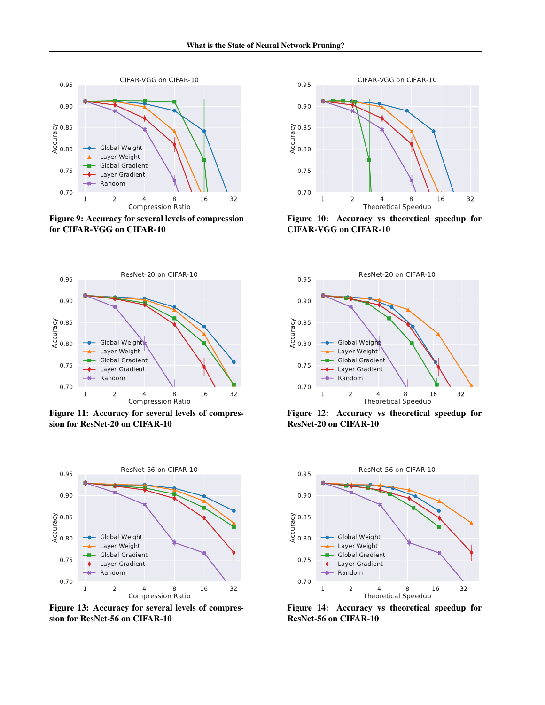

Figure 9: Accuracy for several levels of compression for CIFAR-VGG on CIFAR-10



Figure 10: Accuracy vs theoretical speedup for CIFAR-VGG on CIFAR-10



Figure 11: Accuracy for several levels of compression for ResNet-20 on CIFAR-10



Figure 13: Accuracy for several levels of compression for ResNet-56 on CIFAR-10



Figure 12: Accuracy vs theoretical speedup for ResNet-20 on CIFAR-10



Figure 14: Accuracy vs theoretical speedup for ResNet-56 on CIFAR-10